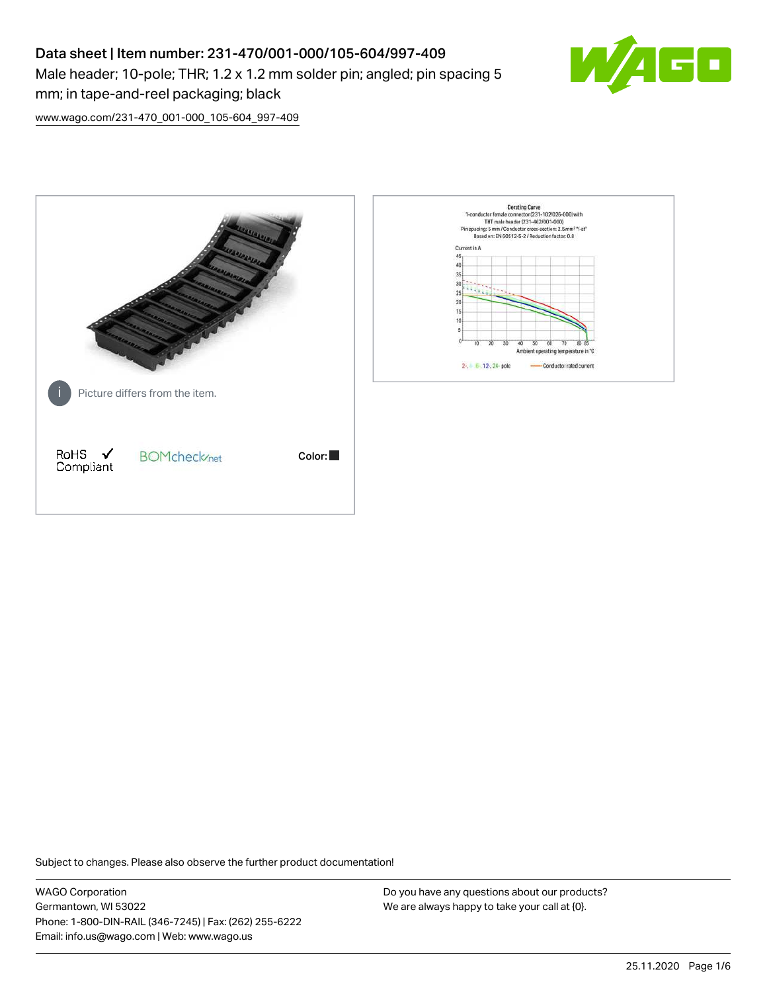# Data sheet | Item number: 231-470/001-000/105-604/997-409

Male header; 10-pole; THR; 1.2 x 1.2 mm solder pin; angled; pin spacing 5 mm; in tape-and-reel packaging; black



[www.wago.com/231-470\\_001-000\\_105-604\\_997-409](http://www.wago.com/231-470_001-000_105-604_997-409)



Subject to changes. Please also observe the further product documentation!

WAGO Corporation Germantown, WI 53022 Phone: 1-800-DIN-RAIL (346-7245) | Fax: (262) 255-6222 Email: info.us@wago.com | Web: www.wago.us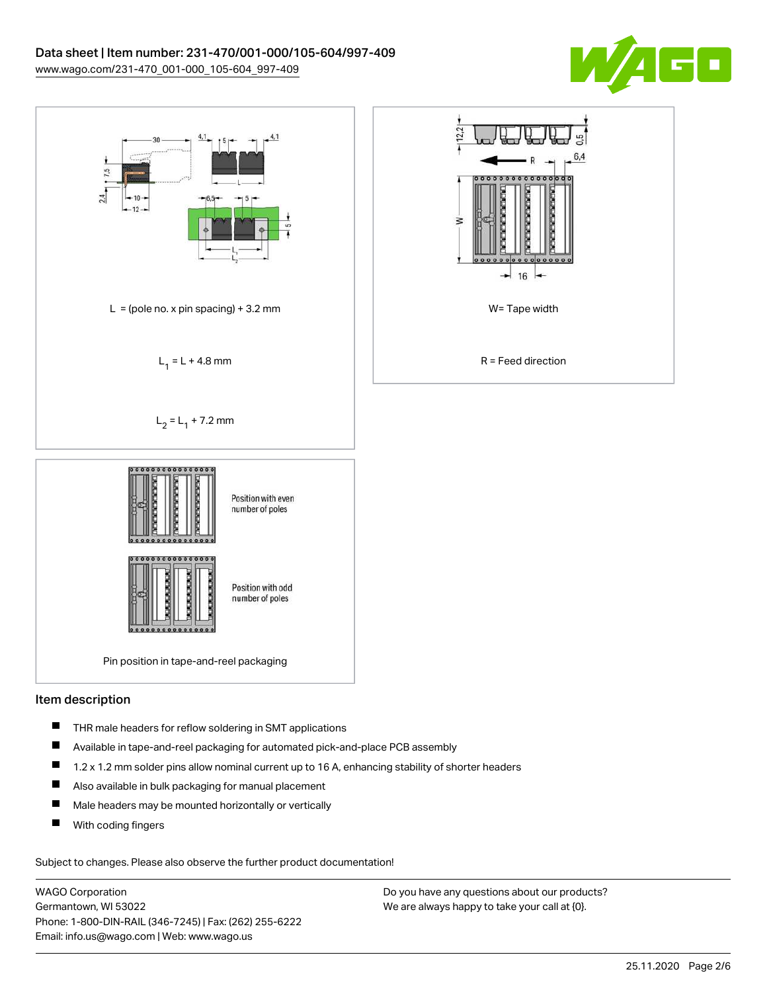



## Item description

- $\blacksquare$ THR male headers for reflow soldering in SMT applications
- П Available in tape-and-reel packaging for automated pick-and-place PCB assembly
- $\blacksquare$ 1.2 x 1.2 mm solder pins allow nominal current up to 16 A, enhancing stability of shorter headers
- $\blacksquare$ Also available in bulk packaging for manual placement
- $\blacksquare$ Male headers may be mounted horizontally or vertically
- П With coding fingers

Subject to changes. Please also observe the further product documentation!

WAGO Corporation Germantown, WI 53022 Phone: 1-800-DIN-RAIL (346-7245) | Fax: (262) 255-6222 Email: info.us@wago.com | Web: www.wago.us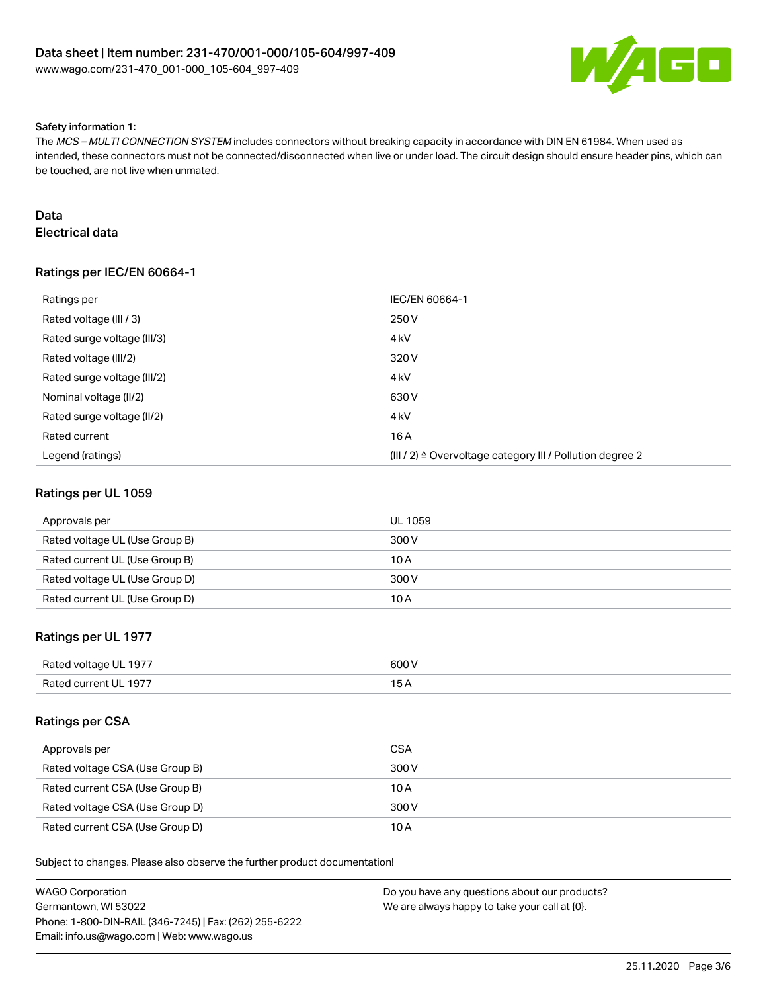

#### Safety information 1:

The MCS – MULTI CONNECTION SYSTEM includes connectors without breaking capacity in accordance with DIN EN 61984. When used as intended, these connectors must not be connected/disconnected when live or under load. The circuit design should ensure header pins, which can be touched, are not live when unmated.

## Data

Electrical data

# Ratings per IEC/EN 60664-1

| Ratings per                 | IEC/EN 60664-1                                            |
|-----------------------------|-----------------------------------------------------------|
| Rated voltage (III / 3)     | 250 V                                                     |
| Rated surge voltage (III/3) | 4 <sub>k</sub> V                                          |
| Rated voltage (III/2)       | 320 V                                                     |
| Rated surge voltage (III/2) | 4 <sub>k</sub> V                                          |
| Nominal voltage (II/2)      | 630 V                                                     |
| Rated surge voltage (II/2)  | 4 <sub>kV</sub>                                           |
| Rated current               | 16 A                                                      |
| Legend (ratings)            | (III / 2) ≙ Overvoltage category III / Pollution degree 2 |

## Ratings per UL 1059

| Approvals per                  | <b>UL 1059</b> |
|--------------------------------|----------------|
| Rated voltage UL (Use Group B) | 300 V          |
| Rated current UL (Use Group B) | 10 A           |
| Rated voltage UL (Use Group D) | 300 V          |
| Rated current UL (Use Group D) | 10 A           |

## Ratings per UL 1977

| Rated voltage UL 1977 | 600 V |
|-----------------------|-------|
| Rated current UL 1977 |       |

## Ratings per CSA

| Approvals per                   | <b>CSA</b> |
|---------------------------------|------------|
| Rated voltage CSA (Use Group B) | 300 V      |
| Rated current CSA (Use Group B) | 10 A       |
| Rated voltage CSA (Use Group D) | 300 V      |
| Rated current CSA (Use Group D) | 10 A       |

Subject to changes. Please also observe the further product documentation!

| WAGO Corporation                                       | Do you have any questions about our products? |
|--------------------------------------------------------|-----------------------------------------------|
| Germantown. WI 53022                                   | We are always happy to take your call at {0}. |
| Phone: 1-800-DIN-RAIL (346-7245)   Fax: (262) 255-6222 |                                               |
| Email: info.us@wago.com   Web: www.wago.us             |                                               |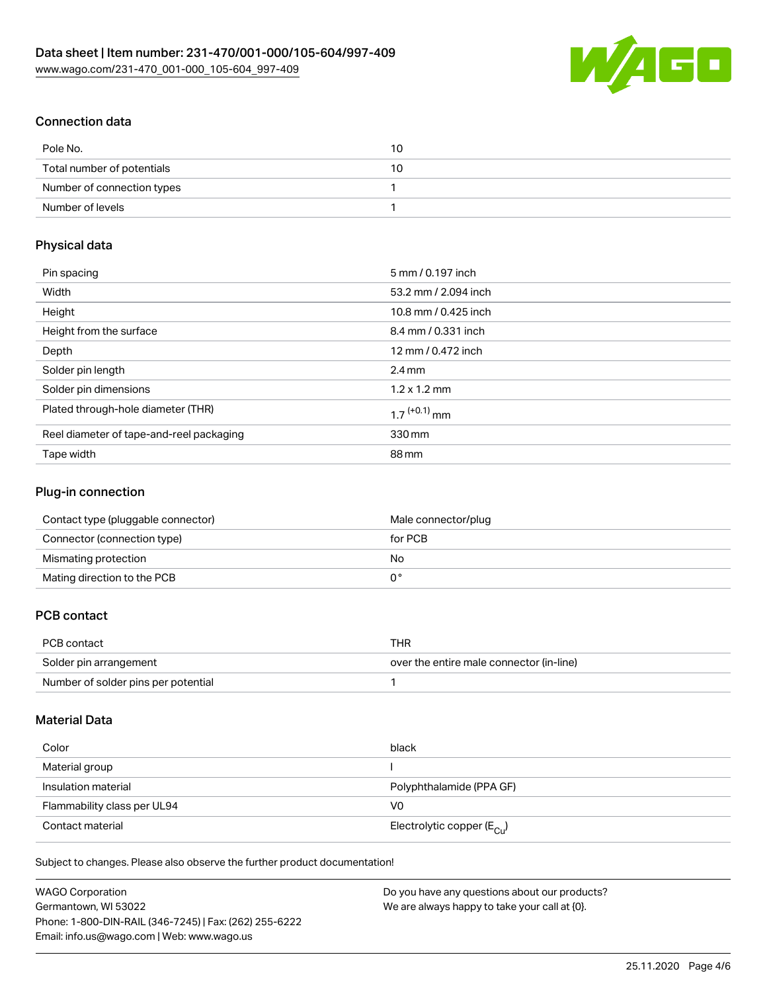

# Connection data

| Pole No.                   | 10 |
|----------------------------|----|
| Total number of potentials | 10 |
| Number of connection types |    |
| Number of levels           |    |

## Physical data

| Pin spacing                              | 5 mm / 0.197 inch          |
|------------------------------------------|----------------------------|
| Width                                    | 53.2 mm / 2.094 inch       |
| Height                                   | 10.8 mm / 0.425 inch       |
| Height from the surface                  | 8.4 mm / 0.331 inch        |
| Depth                                    | 12 mm / 0.472 inch         |
| Solder pin length                        | $2.4 \text{ mm}$           |
| Solder pin dimensions                    | $1.2 \times 1.2$ mm        |
| Plated through-hole diameter (THR)       | $1.7$ <sup>(+0.1)</sup> mm |
| Reel diameter of tape-and-reel packaging | 330 mm                     |
| Tape width                               | 88 mm                      |

## Plug-in connection

| Contact type (pluggable connector) | Male connector/plug |
|------------------------------------|---------------------|
| Connector (connection type)        | for PCB             |
| Mismating protection               | No                  |
| Mating direction to the PCB        |                     |

# PCB contact

| PCB contact                         | THR                                      |
|-------------------------------------|------------------------------------------|
| Solder pin arrangement              | over the entire male connector (in-line) |
| Number of solder pins per potential |                                          |

# Material Data

| Color                       | black                                   |
|-----------------------------|-----------------------------------------|
| Material group              |                                         |
| Insulation material         | Polyphthalamide (PPA GF)                |
| Flammability class per UL94 | V0                                      |
| Contact material            | Electrolytic copper ( $E_{\text{Cu}}$ ) |

Subject to changes. Please also observe the further product documentation!

| WAGO Corporation                                       | Do you have any questions about our products? |
|--------------------------------------------------------|-----------------------------------------------|
| Germantown, WI 53022                                   | We are always happy to take your call at {0}. |
| Phone: 1-800-DIN-RAIL (346-7245)   Fax: (262) 255-6222 |                                               |
| Email: info.us@wago.com   Web: www.wago.us             |                                               |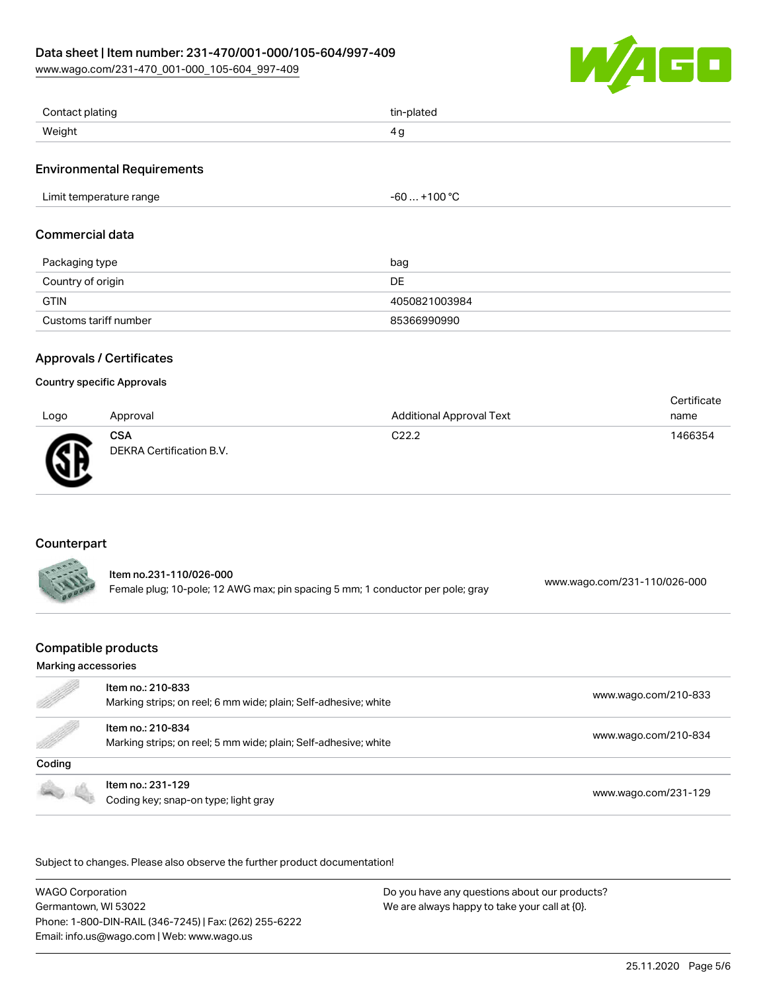[www.wago.com/231-470\\_001-000\\_105-604\\_997-409](http://www.wago.com/231-470_001-000_105-604_997-409)



| Contact plating | tin-plated |
|-----------------|------------|
| Weight          | $\Delta r$ |

## Environmental Requirements

| .<br>Limit temperature range<br>. | .0000<br>۰,<br>∙ou<br>1 U U<br>__ |
|-----------------------------------|-----------------------------------|
|-----------------------------------|-----------------------------------|

## Commercial data

| Packaging type        | bag           |
|-----------------------|---------------|
| Country of origin     | DE            |
| GTIN                  | 4050821003984 |
| Customs tariff number | 85366990990   |

# Approvals / Certificates

## Country specific Approvals

| Logo | Approval                               | <b>Additional Approval Text</b> | Certificate<br>name |
|------|----------------------------------------|---------------------------------|---------------------|
| ☎    | <b>CSA</b><br>DEKRA Certification B.V. | C <sub>22.2</sub>               | 1466354             |

# Counterpart

| ltem no.231-110/026-000                                                        | www.wago.com/231-110/026-000 |
|--------------------------------------------------------------------------------|------------------------------|
| Female plug; 10-pole; 12 AWG max; pin spacing 5 mm; 1 conductor per pole; gray |                              |

# Compatible products

#### Marking accessories

| e de la companya de la companya de la companya de la companya de la companya de la companya de la companya de<br>La companya de la companya de la companya de la companya de la companya de la companya de la companya de la co | Item no.: 210-833<br>Marking strips; on reel; 6 mm wide; plain; Self-adhesive; white | www.wago.com/210-833 |
|---------------------------------------------------------------------------------------------------------------------------------------------------------------------------------------------------------------------------------|--------------------------------------------------------------------------------------|----------------------|
| <b>Sold Street Section</b>                                                                                                                                                                                                      | Item no.: 210-834<br>Marking strips; on reel; 5 mm wide; plain; Self-adhesive; white | www.wago.com/210-834 |
| Coding                                                                                                                                                                                                                          |                                                                                      |                      |
|                                                                                                                                                                                                                                 | Item no.: 231-129<br>Coding key; snap-on type; light gray                            | www.wago.com/231-129 |

Subject to changes. Please also observe the further product documentation!

WAGO Corporation Germantown, WI 53022 Phone: 1-800-DIN-RAIL (346-7245) | Fax: (262) 255-6222 Email: info.us@wago.com | Web: www.wago.us